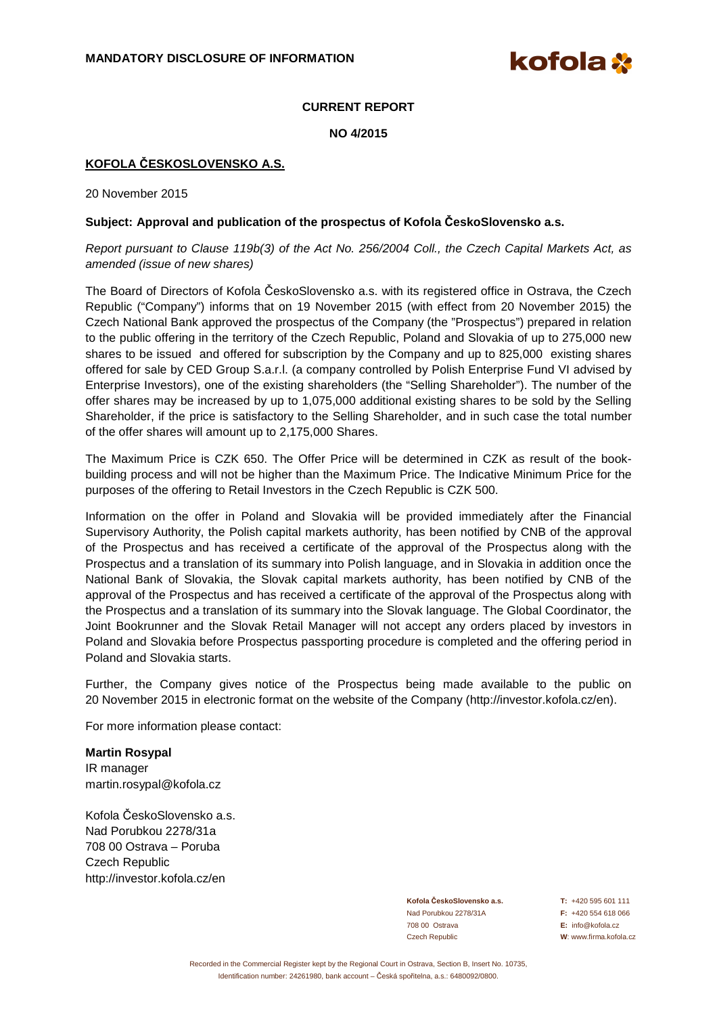kofola **\*** 

# **CURRENT REPORT**

**NO 4/2015** 

## **KOFOLA ČESKOSLOVENSKO A.S.**

20 November 2015

### **Subject: Approval and publication of the prospectus of Kofola ČeskoSlovensko a.s.**

Report pursuant to Clause 119b(3) of the Act No. 256/2004 Coll., the Czech Capital Markets Act, as amended (issue of new shares)

The Board of Directors of Kofola ČeskoSlovensko a.s. with its registered office in Ostrava, the Czech Republic ("Company") informs that on 19 November 2015 (with effect from 20 November 2015) the Czech National Bank approved the prospectus of the Company (the "Prospectus") prepared in relation to the public offering in the territory of the Czech Republic, Poland and Slovakia of up to 275,000 new shares to be issued and offered for subscription by the Company and up to 825,000 existing shares offered for sale by CED Group S.a.r.l. (a company controlled by Polish Enterprise Fund VI advised by Enterprise Investors), one of the existing shareholders (the "Selling Shareholder"). The number of the offer shares may be increased by up to 1,075,000 additional existing shares to be sold by the Selling Shareholder, if the price is satisfactory to the Selling Shareholder, and in such case the total number of the offer shares will amount up to 2,175,000 Shares.

The Maximum Price is CZK 650. The Offer Price will be determined in CZK as result of the bookbuilding process and will not be higher than the Maximum Price. The Indicative Minimum Price for the purposes of the offering to Retail Investors in the Czech Republic is CZK 500.

Information on the offer in Poland and Slovakia will be provided immediately after the Financial Supervisory Authority, the Polish capital markets authority, has been notified by CNB of the approval of the Prospectus and has received a certificate of the approval of the Prospectus along with the Prospectus and a translation of its summary into Polish language, and in Slovakia in addition once the National Bank of Slovakia, the Slovak capital markets authority, has been notified by CNB of the approval of the Prospectus and has received a certificate of the approval of the Prospectus along with the Prospectus and a translation of its summary into the Slovak language. The Global Coordinator, the Joint Bookrunner and the Slovak Retail Manager will not accept any orders placed by investors in Poland and Slovakia before Prospectus passporting procedure is completed and the offering period in Poland and Slovakia starts.

Further, the Company gives notice of the Prospectus being made available to the public on 20 November 2015 in electronic format on the website of the Company (http://investor.kofola.cz/en).

For more information please contact:

#### **Martin Rosypal**

IR manager martin.rosypal@kofola.cz

Kofola ČeskoSlovensko a.s. Nad Porubkou 2278/31a 708 00 Ostrava – Poruba Czech Republic http://investor.kofola.cz/en

> **Kofola ČeskoSlovensko a.s. T:** +420 595 601 111 Nad Porubkou 2278/31A **F:** +420 554 618 066 708 00 Ostrava **E:** info@kofola.cz Czech Republic **W**: www.firma.kofola.cz